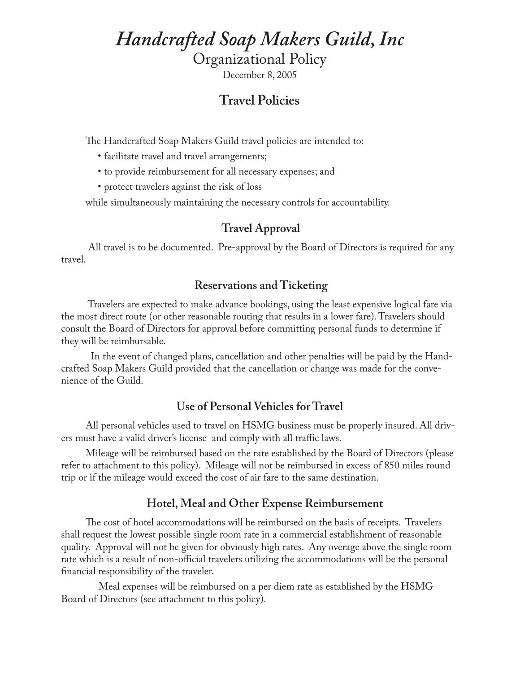## *Handcrafted Soap Makers Guild, Inc*

Organizational Policy

December 8, 2005

## **Travel Policies**

The Handcrafted Soap Makers Guild travel policies are intended to:

- facilitate travel and travel arrangements;
- to provide reimbursement for all necessary expenses; and
- protect travelers against the risk of loss

while simultaneously maintaining the necessary controls for accountability.

### **Travel Approval**

 All travel is to be documented. Pre-approval by the Board of Directors is required for any travel.

### **Reservations and Ticketing**

 Travelers are expected to make advance bookings, using the least expensive logical fare via the most direct route (or other reasonable routing that results in a lower fare). Travelers should consult the Board of Directors for approval before committing personal funds to determine if they will be reimbursable.

 In the event of changed plans, cancellation and other penalties will be paid by the Handcrafted Soap Makers Guild provided that the cancellation or change was made for the convenience of the Guild.

#### **Use of Personal Vehicles for Travel**

All personal vehicles used to travel on HSMG business must be properly insured. All drivers must have a valid driver's license and comply with all traffic laws.

Mileage will be reimbursed based on the rate established by the Board of Directors (please refer to attachment to this policy). Mileage will not be reimbursed in excess of 850 miles round trip or if the mileage would exceed the cost of air fare to the same destination.

#### **Hotel, Meal and Other Expense Reimbursement**

The cost of hotel accommodations will be reimbursed on the basis of receipts. Travelers shall request the lowest possible single room rate in a commercial establishment of reasonable quality. Approval will not be given for obviously high rates. Any overage above the single room rate which is a result of non-official travelers utilizing the accommodations will be the personal financial responsibility of the traveler.

 Meal expenses will be reimbursed on a per diem rate as established by the HSMG Board of Directors (see attachment to this policy).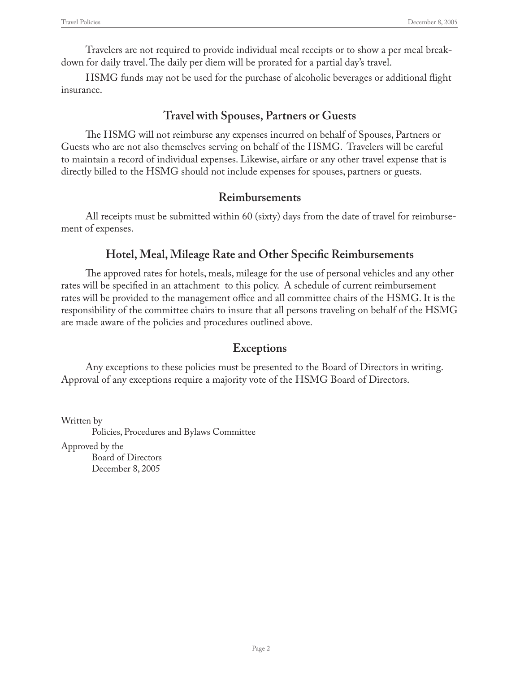Travelers are not required to provide individual meal receipts or to show a per meal breakdown for daily travel. The daily per diem will be prorated for a partial day's travel.

HSMG funds may not be used for the purchase of alcoholic beverages or additional flight insurance.

## **Travel with Spouses, Partners or Guests**

The HSMG will not reimburse any expenses incurred on behalf of Spouses, Partners or Guests who are not also themselves serving on behalf of the HSMG. Travelers will be careful to maintain a record of individual expenses. Likewise, airfare or any other travel expense that is directly billed to the HSMG should not include expenses for spouses, partners or guests.

## **Reimbursements**

All receipts must be submitted within 60 (sixty) days from the date of travel for reimbursement of expenses.

## **Hotel, Meal, Mileage Rate and Other Specific Reimbursements**

The approved rates for hotels, meals, mileage for the use of personal vehicles and any other rates will be specified in an attachment to this policy. A schedule of current reimbursement rates will be provided to the management office and all committee chairs of the HSMG. It is the responsibility of the committee chairs to insure that all persons traveling on behalf of the HSMG are made aware of the policies and procedures outlined above.

## **Exceptions**

Any exceptions to these policies must be presented to the Board of Directors in writing. Approval of any exceptions require a majority vote of the HSMG Board of Directors.

Written by Policies, Procedures and Bylaws Committee

Approved by the

 Board of Directors December 8, 2005